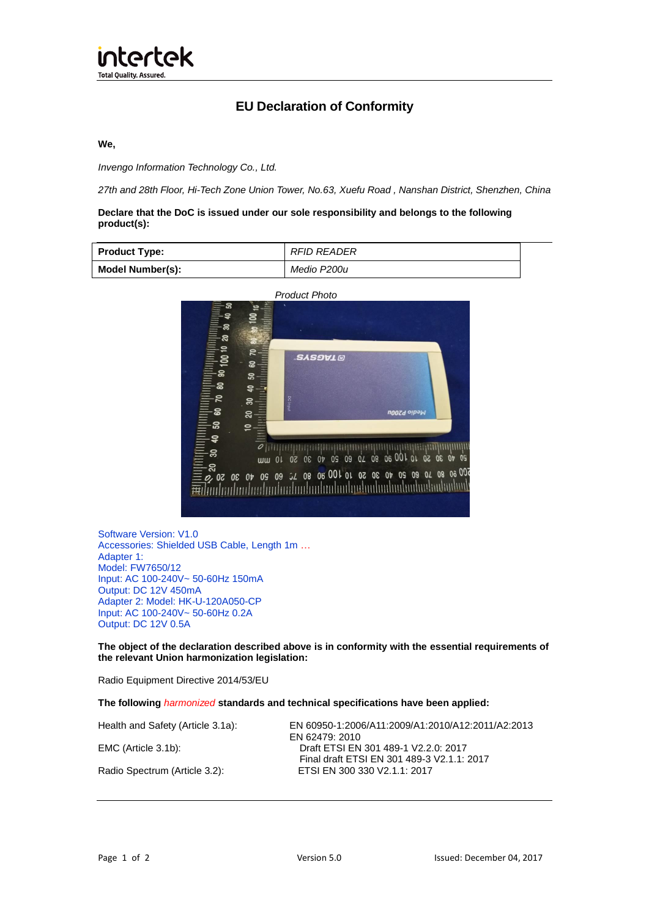# **EU Declaration of Conformity**

### **We,**

*Invengo Information Technology Co., Ltd.*

*27th and 28th Floor, Hi-Tech Zone Union Tower, No.63, Xuefu Road , Nanshan District, Shenzhen, China*

# **Declare that the DoC is issued under our sole responsibility and belongs to the following product(s):**

| <b>Product Type:</b> | <b>RFID READER</b> |
|----------------------|--------------------|
| Model Number(s):     | Medio P200u        |



Software Version: V1.0 Accessories: Shielded USB Cable, Length 1m … Adapter 1: Model: FW7650/12 Input: AC 100-240V~ 50-60Hz 150mA Output: DC 12V 450mA Adapter 2: Model: HK-U-120A050-CP Input: AC 100-240V~ 50-60Hz 0.2A Output: DC 12V 0.5A

**The object of the declaration described above is in conformity with the essential requirements of the relevant Union harmonization legislation:**

Radio Equipment Directive 2014/53/EU

#### **The following** *harmonized* **standards and technical specifications have been applied:**

Health and Safety (Article 3.1a): EN 60950-1:2006/A11:2009/A1:2010/A12:2011/A2:2013 EN 62479: 2010 EMC (Article 3.1b): Draft ETSI EN 301 489-1 V2.2.0: 2017 Final draft ETSI EN 301 489-3 V2.1.1: 2017 Radio Spectrum (Article 3.2):